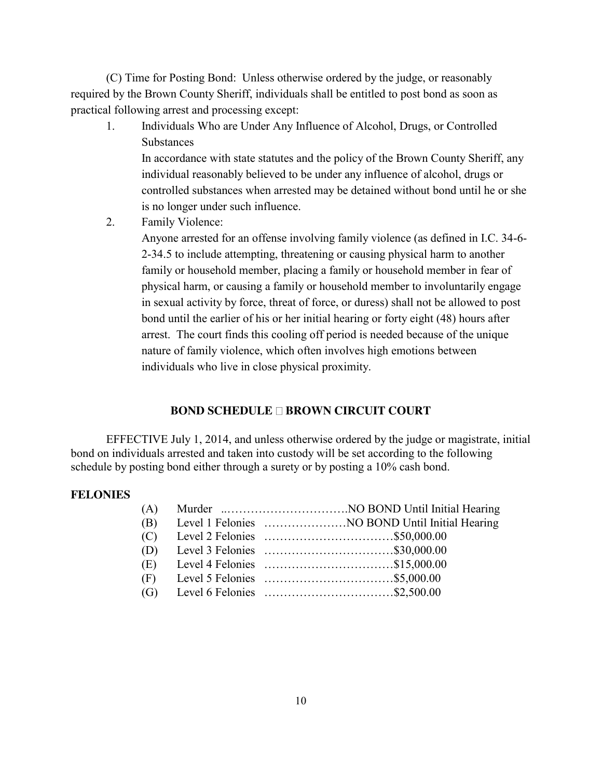(C) Time for Posting Bond: Unless otherwise ordered by the judge, or reasonably required by the Brown County Sheriff, individuals shall be entitled to post bond as soon as practical following arrest and processing except:

1. Individuals Who are Under Any Influence of Alcohol, Drugs, or Controlled **Substances** 

In accordance with state statutes and the policy of the Brown County Sheriff, any individual reasonably believed to be under any influence of alcohol, drugs or controlled substances when arrested may be detained without bond until he or she is no longer under such influence.

2. Family Violence:

Anyone arrested for an offense involving family violence (as defined in I.C. 34-6- 2-34.5 to include attempting, threatening or causing physical harm to another family or household member, placing a family or household member in fear of physical harm, or causing a family or household member to involuntarily engage in sexual activity by force, threat of force, or duress) shall not be allowed to post bond until the earlier of his or her initial hearing or forty eight (48) hours after arrest. The court finds this cooling off period is needed because of the unique nature of family violence, which often involves high emotions between individuals who live in close physical proximity.

# **BOND SCHEDULE DROWN CIRCUIT COURT**

EFFECTIVE July 1, 2014, and unless otherwise ordered by the judge or magistrate, initial bond on individuals arrested and taken into custody will be set according to the following schedule by posting bond either through a surety or by posting a 10% cash bond.

### **FELONIES**

| (B) |  |
|-----|--|
|     |  |
| (D) |  |
| (E) |  |
| (F) |  |
| (G) |  |